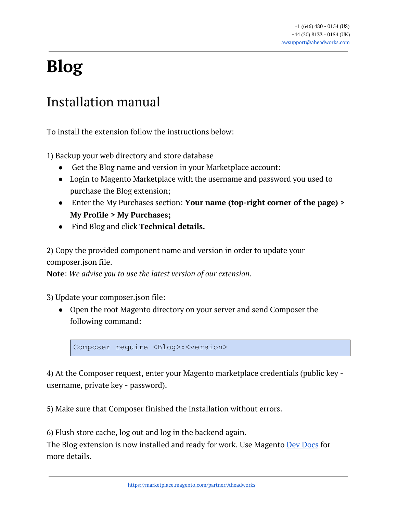# **Blog**

# Installation manual

To install the extension follow the instructions below:

1) Backup your web directory and store database

- Get the Blog name and version in your Marketplace account:
- Login to Magento Marketplace with the username and password you used to purchase the Blog extension;
- Enter the My Purchases section: **Your name (top-right corner of the page) > My Profile > My Purchases;**
- Find Blog and click **Technical details.**

2) Copy the provided component name and version in order to update your composer.json file.

**Note**: *We advise you to use the latest version of our extension.*

3) Update your composer.json file:

● Open the root Magento directory on your server and send Composer the following command:

Composer require <Blog>:<version>

4) At the Composer request, enter your Magento marketplace credentials (public key username, private key - password).

5) Make sure that Composer finished the installation without errors.

6) Flush store cache, log out and log in the backend again.

The Blog extension is now installed and ready for work. Use Magento **Dev [Docs](https://devdocs.magento.com/extensions/install/)** for more details.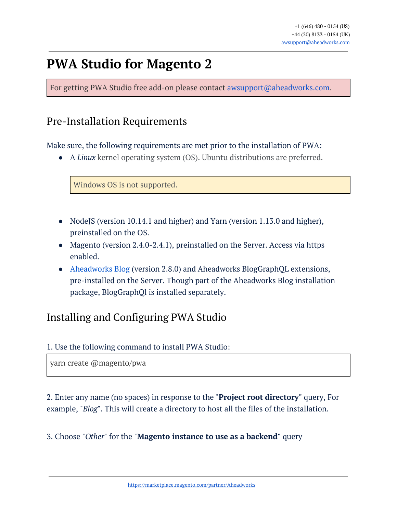# **PWA Studio for Magento 2**

For getting PWA Studio free add-on please contact **[awsupport@aheadworks.com](mailto:awsupport@aheadworks.com)**.

# Pre-Installation Requirements

Make sure, the following requirements are met prior to the installation of PWA:

● A *Linux* kernel operating system (OS). Ubuntu distributions are preferred.

Windows OS is not supported.

- NodeJS (version 10.14.1 and higher) and Yarn (version 1.13.0 and higher), preinstalled on the OS.
- Magento (version 2.4.0-2.4.1), preinstalled on the Server. Access via https enabled.
- [Aheadworks](https://marketplace.magento.com/aheadworks-module-blog.html) Blog (version 2.8.0) and Aheadworks BlogGraphQL extensions, pre-installed on the Server. Though part of the Aheadworks Blog installation package, BlogGraphQl is installed separately.

# Installing and Configuring PWA Studio

#### 1. Use the following command to install PWA Studio:

yarn create @magento/pwa

2. Enter any name (no spaces) in response to the "**Project root directory"** query, For example, "*Blog*". This will create a directory to host all the files of the installation.

3. Choose "*Other*" for the "**Magento instance to use as a backend"** query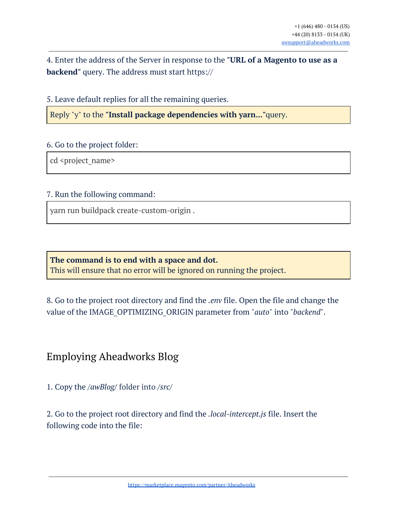4. Enter the address of the Server in response to the **"URL of a Magento to use as a backend"** query. The address must start https://

5. Leave default replies for all the remaining queries.

Reply "y" to the **"Install package dependencies with yarn..."**query.

#### 6. Go to the project folder:

cd <project\_name>

#### 7. Run the following command:

yarn run buildpack create-custom-origin .

**The command is to end with a space and dot.** This will ensure that no error will be ignored on running the project.

8. Go to the project root directory and find the *.env* file. Open the file and change the value of the IMAGE\_OPTIMIZING\_ORIGIN parameter from "*auto*" into "*backend*".

### Employing Aheadworks Blog

1. Copy the */awBlog/* folder into */src/*

2. Go to the project root directory and find the *.local-intercept.js* file. Insert the following code into the file: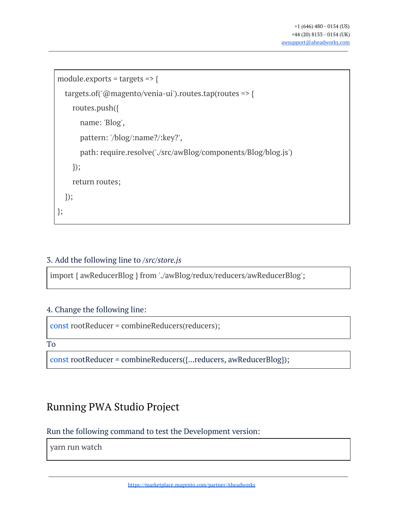```
module.exports = targets => {
  targets.of('@magento/venia-ui').routes.tap(routes => {
    routes.push({
      name: 'Blog',
      pattern: '/blog/:name?/:key?',
      path: require.resolve('./src/awBlog/components/Blog/blog.js')
    });
    return routes;
 });
};
```
#### 3. Add the following line to */src/store.js*

import { awReducerBlog } from './awBlog/redux/reducers/awReducerBlog';

#### 4. Change the following line:

```
const rootReducer = combineReducers(reducers);
```
To

const rootReducer = combineReducers({...reducers, awReducerBlog});

### Running PWA Studio Project

#### Run the following command to test the Development version:

yarn run watch